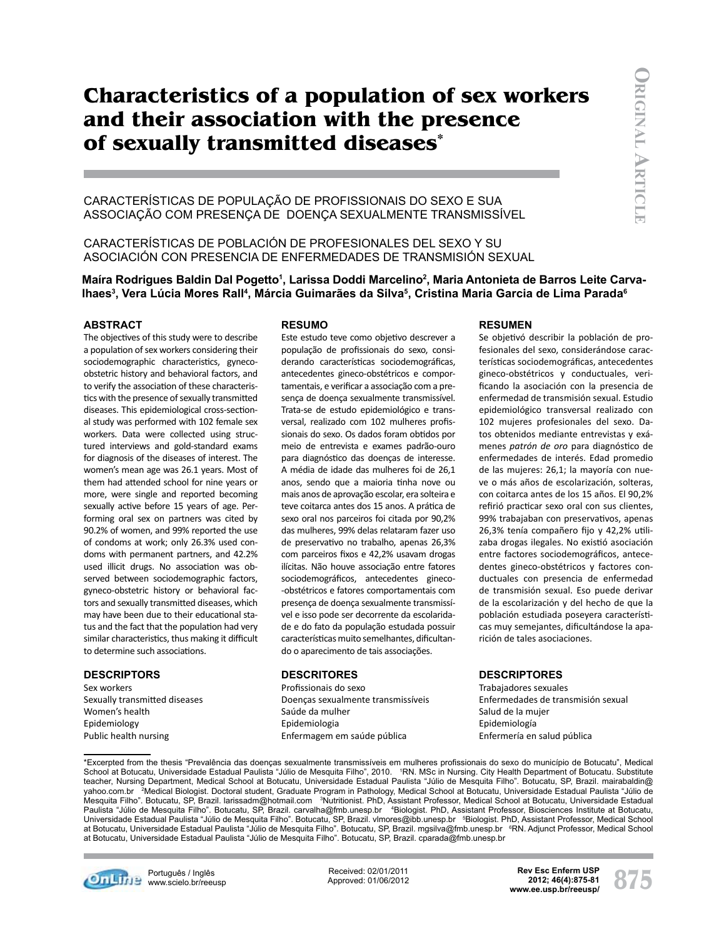# **Characteristics of a population of sex workers and their association with the presence of sexually transmitted diseases\***

Características de população de profissionais do sexo e sua associação com presença de doença sexualmente transmissível

# Características de población de profesionales del sexo y su asociación con presencia de enfermedades de transmisión sexual

# Maíra Rodrigues Baldin Dal Pogetto<sup>1</sup>, Larissa Doddi Marcelino<sup>2</sup>, Maria Antonieta de Barros Leite Carva-Ihaes<sup>3</sup>, Vera Lúcia Mores Rall<sup>4</sup>, Márcia Guimarães da Silva<sup>s</sup>, Cristina Maria Garcia de Lima Parada<sup>s</sup>

#### **Abstract**

The objectives of this study were to describe a population of sex workers considering their sociodemographic characteristics, gynecoobstetric history and behavioral factors, and to verify the association of these characteristics with the presence of sexually transmitted diseases. This epidemiological cross-sectional study was performed with 102 female sex workers. Data were collected using structured interviews and gold-standard exams for diagnosis of the diseases of interest. The women's mean age was 26.1 years. Most of them had attended school for nine years or more, were single and reported becoming sexually active before 15 years of age. Performing oral sex on partners was cited by 90.2% of women, and 99% reported the use of condoms at work; only 26.3% used condoms with permanent partners, and 42.2% used illicit drugs. No association was observed between sociodemographic factors, gyneco-obstetric history or behavioral factors and sexually transmitted diseases, which may have been due to their educational status and the fact that the population had very similar characteristics, thus making it difficult to determine such associations.

#### **descriptors**

Sex workers Sexually transmitted diseases Women's health Epidemiology Public health nursing

#### **resumo**

Este estudo teve como objetivo descrever a população de profissionais do sexo, considerando características sociodemográficas, antecedentes gineco-obstétricos e comportamentais, e verificar a associação com a presença de doença sexualmente transmissível. Trata-se de estudo epidemiológico e transversal, realizado com 102 mulheres profissionais do sexo. Os dados foram obtidos por meio de entrevista e exames padrão-ouro para diagnóstico das doenças de interesse. A média de idade das mulheres foi de 26,1 anos, sendo que a maioria tinha nove ou mais anos de aprovação escolar, era solteira e teve coitarca antes dos 15 anos. A prática de sexo oral nos parceiros foi citada por 90,2% das mulheres, 99% delas relataram fazer uso de preservativo no trabalho, apenas 26,3% com parceiros fixos e 42,2% usavam drogas ilícitas. Não houve associação entre fatores sociodemográficos, antecedentes gineco- -obstétricos e fatores comportamentais com presença de doença sexualmente transmissível e isso pode ser decorrente da escolaridade e do fato da população estudada possuir características muito semelhantes, dificultando o aparecimento de tais associações.

#### **descritores**

Profissionais do sexo Doenças sexualmente transmissíveis Saúde da mulher Epidemiologia Enfermagem em saúde pública

#### **Resumen**

Se objetivó describir la población de profesionales del sexo, considerándose características sociodemográficas, antecedentes gineco-obstétricos y conductuales, verificando la asociación con la presencia de enfermedad de transmisión sexual. Estudio epidemiológico transversal realizado con 102 mujeres profesionales del sexo. Datos obtenidos mediante entrevistas y exámenes *patrón de oro* para diagnóstico de enfermedades de interés. Edad promedio de las mujeres: 26,1; la mayoría con nueve o más años de escolarización, solteras, con coitarca antes de los 15 años. El 90,2% refirió practicar sexo oral con sus clientes, 99% trabajaban con preservativos, apenas 26,3% tenía compañero fijo y 42,2% utilizaba drogas ilegales. No existió asociación entre factores sociodemográficos, antecedentes gineco-obstétricos y factores conductuales con presencia de enfermedad de transmisión sexual. Eso puede derivar de la escolarización y del hecho de que la población estudiada poseyera características muy semejantes, dificultándose la aparición de tales asociaciones.

#### **descriptores**

Trabajadores sexuales Enfermedades de transmisión sexual Salud de la mujer Epidemiología Enfermería en salud pública

\*Excerpted from the thesis "Prevalência das doenças sexualmente transmissíveis em mulheres profissionais do sexo do município de Botucatu", Medical School at Botucatu, Universidade Estadual Paulista "Júlio de Mesquita Filho", 2010. NRN. MSc in Nursing. City Health Department of Botucatu. Substitute teacher, Nursing Department, Medical School at Botucatu, Universidade Estadual Paulista "Júlio de Mesquita Filho". Botucatu, SP, Brazil. mairabaldin@ yahoo.com.br 2 Medical Biologist. Doctoral student, Graduate Program in Pathology, Medical School at Botucatu, Universidade Estadual Paulista "Júlio de Mesquita Filho". Botucatu, SP, Brazil. larissadm@hotmail.com <sup>3</sup>Nutritionist. PhD, Assistant Professor, Medical School at Botucatu, Universidade Estadual Paulista "Júlio de Mesquita Filho". Botucatu, SP, Brazil. carvalha@fmb.unesp.br 'Biologist. PhD, Assistant Professor, Biosciences Institute at Botucatu,<br>Universidade Estadual Paulista "Júlio de Mesquita Filho". Botucatu, at Botucatu, Universidade Estadual Paulista "Júlio de Mesquita Filho". Botucatu, SP, Brazil. mgsilva@fmb.unesp.br <sup>e</sup>RN. Adjunct Professor, Medical School at Botucatu, Universidade Estadual Paulista "Júlio de Mesquita Filho". Botucatu, SP, Brazil. cparada@fmb.unesp.br



**Con Linux Português / Inglês WITH STARS** www.scielo.br/reeusp Received: 02/01/2011 Approved: 01/06/2012 **875 Rev Esc Enferm USP www.ee.usp.br/reeusp/ 2012; 46(4):875-81**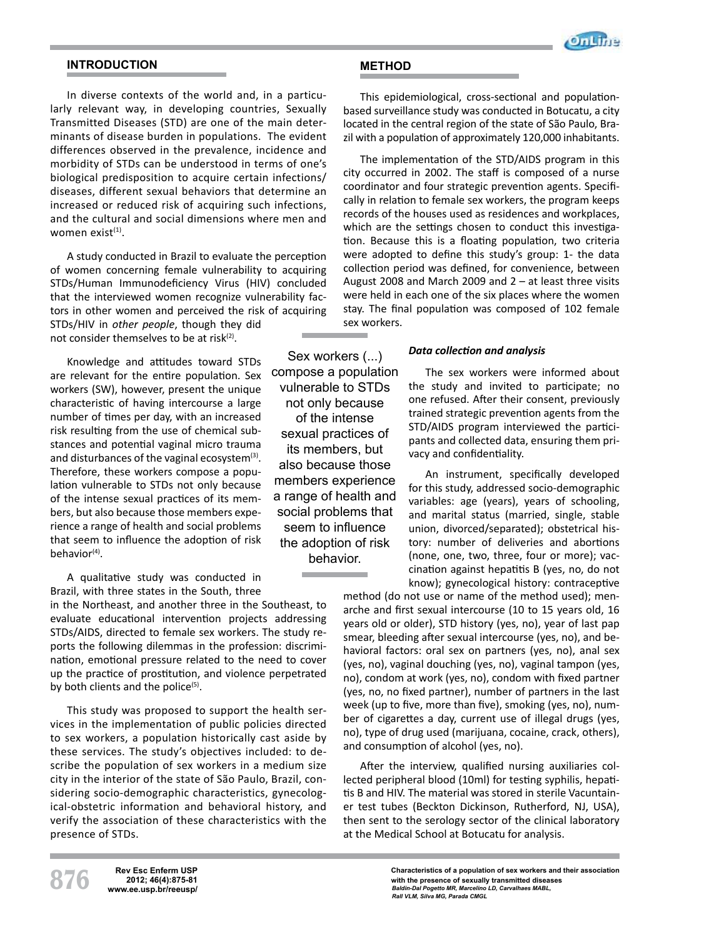

# **INTRODUCTION**

In diverse contexts of the world and, in a particularly relevant way, in developing countries, Sexually Transmitted Diseases (STD) are one of the main determinants of disease burden in populations. The evident differences observed in the prevalence, incidence and morbidity of STDs can be understood in terms of one's biological predisposition to acquire certain infections/ diseases, different sexual behaviors that determine an increased or reduced risk of acquiring such infections, and the cultural and social dimensions where men and women exist $(1)$ .

A study conducted in Brazil to evaluate the perception of women concerning female vulnerability to acquiring STDs/Human Immunodeficiency Virus (HIV) concluded that the interviewed women recognize vulnerability factors in other women and perceived the risk of acquiring STDs/HIV in *other people*, though they did

not consider themselves to be at risk $(2)$ .

Knowledge and attitudes toward STDs are relevant for the entire population. Sex workers (SW), however, present the unique characteristic of having intercourse a large number of times per day, with an increased risk resulting from the use of chemical substances and potential vaginal micro trauma and disturbances of the vaginal ecosystem $(3)$ . Therefore, these workers compose a population vulnerable to STDs not only because of the intense sexual practices of its members, but also because those members experience a range of health and social problems that seem to influence the adoption of risk  $hehavior<sup>(4)</sup>$ 

A qualitative study was conducted in Brazil, with three states in the South, three

in the Northeast, and another three in the Southeast, to evaluate educational intervention projects addressing STDs/AIDS, directed to female sex workers. The study reports the following dilemmas in the profession: discrimination, emotional pressure related to the need to cover up the practice of prostitution, and violence perpetrated by both clients and the police $(5)$ .

This study was proposed to support the health services in the implementation of public policies directed to sex workers, a population historically cast aside by these services. The study's objectives included: to describe the population of sex workers in a medium size city in the interior of the state of São Paulo, Brazil, considering socio-demographic characteristics, gynecological-obstetric information and behavioral history, and verify the association of these characteristics with the presence of STDs.

Sex workers  $(...)$ compose a population vulnerable to STDs not only because of the intense sexual practices of its members, but also because those members experience a range of health and social problems that seem to influence the adoption of risk behavior.

**METHOD**

This epidemiological, cross-sectional and populationbased surveillance study was conducted in Botucatu, a city located in the central region of the state of São Paulo, Brazil with a population of approximately 120,000 inhabitants.

The implementation of the STD/AIDS program in this city occurred in 2002. The staff is composed of a nurse coordinator and four strategic prevention agents. Specifically in relation to female sex workers, the program keeps records of the houses used as residences and workplaces, which are the settings chosen to conduct this investigation. Because this is a floating population, two criteria were adopted to define this study's group: 1- the data collection period was defined, for convenience, between August 2008 and March 2009 and 2 – at least three visits were held in each one of the six places where the women stay. The final population was composed of 102 female sex workers.

#### *Data collection and analysis*

The sex workers were informed about the study and invited to participate; no one refused. After their consent, previously trained strategic prevention agents from the STD/AIDS program interviewed the participants and collected data, ensuring them privacy and confidentiality.

An instrument, specifically developed for this study, addressed socio-demographic variables: age (years), years of schooling, and marital status (married, single, stable union, divorced/separated); obstetrical history: number of deliveries and abortions (none, one, two, three, four or more); vaccination against hepatitis B (yes, no, do not know); gynecological history: contraceptive

method (do not use or name of the method used); menarche and first sexual intercourse (10 to 15 years old, 16 years old or older), STD history (yes, no), year of last pap smear, bleeding after sexual intercourse (yes, no), and behavioral factors: oral sex on partners (yes, no), anal sex (yes, no), vaginal douching (yes, no), vaginal tampon (yes, no), condom at work (yes, no), condom with fixed partner (yes, no, no fixed partner), number of partners in the last week (up to five, more than five), smoking (yes, no), number of cigarettes a day, current use of illegal drugs (yes, no), type of drug used (marijuana, cocaine, crack, others), and consumption of alcohol (yes, no).

After the interview, qualified nursing auxiliaries collected peripheral blood (10ml) for testing syphilis, hepatitis B and HIV. The material was stored in sterile Vacuntainer test tubes (Beckton Dickinson, Rutherford, NJ, USA), then sent to the serology sector of the clinical laboratory at the Medical School at Botucatu for analysis.

**876 Rev Esc Enferm USP www.ee.usp.br/reeusp/ 2012; 46(4):875-81**

**Characteristics of a population of sex workers and their association with the presence of sexually transmitted diseases** *Baldin-Dal Pogetto MR, Marcelino LD, Carvalhaes MABL, Rall VLM, Silva MG, Parada CMGL*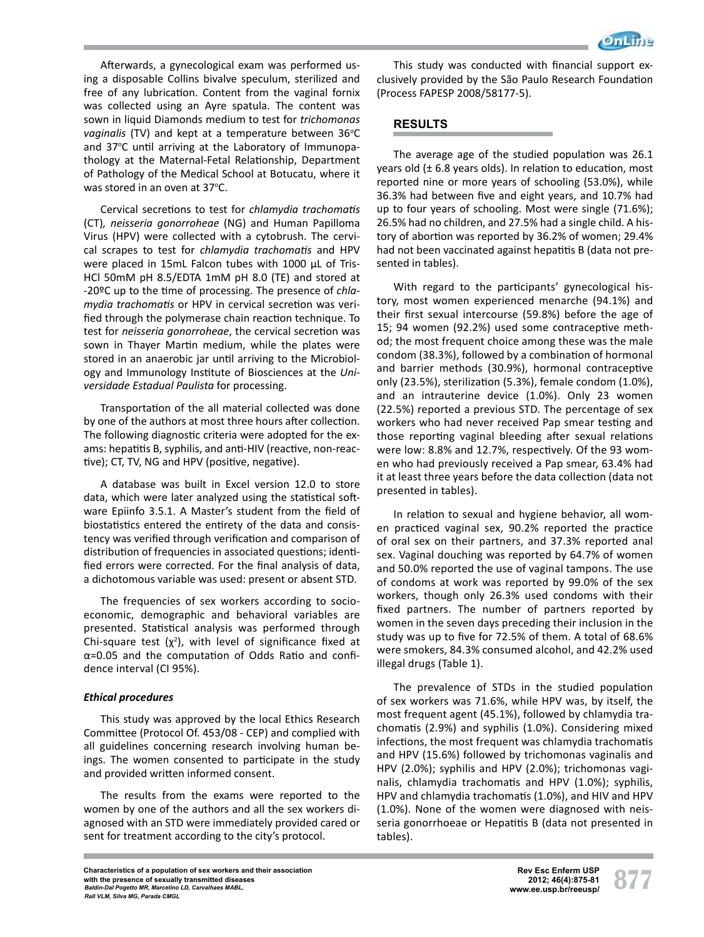

Afterwards, a gynecological exam was performed using a disposable Collins bivalve speculum, sterilized and free of any lubrication. Content from the vaginal fornix was collected using an Ayre spatula. The content was sown in liquid Diamonds medium to test for *trichomonas*  vaginalis (TV) and kept at a temperature between 36°C and 37°C until arriving at the Laboratory of Immunopathology at the Maternal-Fetal Relationship, Department of Pathology of the Medical School at Botucatu, where it was stored in an oven at 37 $\degree$ C.

Cervical secretions to test for *chlamydia trachomatis*  (CT)*, neisseria gonorroheae* (NG) and Human Papilloma Virus (HPV) were collected with a cytobrush. The cervical scrapes to test for *chlamydia trachomatis* and HPV were placed in 15mL Falcon tubes with 1000 µL of Tris-HCl 50mM pH 8.5/EDTA 1mM pH 8.0 (TE) and stored at -20ºC up to the time of processing. The presence of *chlamydia trachomatis* or HPV in cervical secretion was verified through the polymerase chain reaction technique. To test for *neisseria gonorroheae*, the cervical secretion was sown in Thayer Martin medium, while the plates were stored in an anaerobic jar until arriving to the Microbiology and Immunology Institute of Biosciences at the *Universidade Estadual Paulista* for processing.

Transportation of the all material collected was done by one of the authors at most three hours after collection. The following diagnostic criteria were adopted for the exams: hepatitis B, syphilis, and anti-HIV (reactive, non-reactive); CT, TV, NG and HPV (positive, negative).

A database was built in Excel version 12.0 to store data, which were later analyzed using the statistical software Epiinfo 3.5.1. A Master's student from the field of biostatistics entered the entirety of the data and consistency was verified through verification and comparison of distribution of frequencies in associated questions; identified errors were corrected. For the final analysis of data, a dichotomous variable was used: present or absent STD.

The frequencies of sex workers according to socioeconomic, demographic and behavioral variables are presented. Statistical analysis was performed through Chi-square test  $(\chi^2)$ , with level of significance fixed at α=0.05 and the computation of Odds Ratio and confidence interval (CI 95%).

#### *Ethical procedures*

This study was approved by the local Ethics Research Committee (Protocol Of. 453/08 - CEP) and complied with all guidelines concerning research involving human beings. The women consented to participate in the study and provided written informed consent.

The results from the exams were reported to the women by one of the authors and all the sex workers diagnosed with an STD were immediately provided cared or sent for treatment according to the city's protocol.

This study was conducted with financial support exclusively provided by the São Paulo Research Foundation (Process FAPESP 2008/58177-5).

# **RESULTS**

The average age of the studied population was 26.1 years old  $(\pm 6.8$  years olds). In relation to education, most reported nine or more years of schooling (53.0%), while 36.3% had between five and eight years, and 10.7% had up to four years of schooling. Most were single (71.6%); 26.5% had no children, and 27.5% had a single child. A history of abortion was reported by 36.2% of women; 29.4% had not been vaccinated against hepatitis B (data not presented in tables).

With regard to the participants' gynecological history, most women experienced menarche (94.1%) and their first sexual intercourse (59.8%) before the age of 15; 94 women (92.2%) used some contraceptive method; the most frequent choice among these was the male condom (38.3%), followed by a combination of hormonal and barrier methods (30.9%), hormonal contraceptive only (23.5%), sterilization (5.3%), female condom (1.0%), and an intrauterine device (1.0%). Only 23 women (22.5%) reported a previous STD. The percentage of sex workers who had never received Pap smear testing and those reporting vaginal bleeding after sexual relations were low: 8.8% and 12.7%, respectively. Of the 93 women who had previously received a Pap smear, 63.4% had it at least three years before the data collection (data not presented in tables).

In relation to sexual and hygiene behavior, all women practiced vaginal sex, 90.2% reported the practice of oral sex on their partners, and 37.3% reported anal sex. Vaginal douching was reported by 64.7% of women and 50.0% reported the use of vaginal tampons. The use of condoms at work was reported by 99.0% of the sex workers, though only 26.3% used condoms with their fixed partners. The number of partners reported by women in the seven days preceding their inclusion in the study was up to five for 72.5% of them. A total of 68.6% were smokers, 84.3% consumed alcohol, and 42.2% used illegal drugs (Table 1).

The prevalence of STDs in the studied population of sex workers was 71.6%, while HPV was, by itself, the most frequent agent (45.1%), followed by chlamydia trachomatis (2.9%) and syphilis (1.0%). Considering mixed infections, the most frequent was chlamydia trachomatis and HPV (15.6%) followed by trichomonas vaginalis and HPV (2.0%); syphilis and HPV (2.0%); trichomonas vaginalis, chlamydia trachomatis and HPV (1.0%); syphilis, HPV and chlamydia trachomatis (1.0%), and HIV and HPV (1.0%). None of the women were diagnosed with neisseria gonorrhoeae or Hepatitis B (data not presented in tables).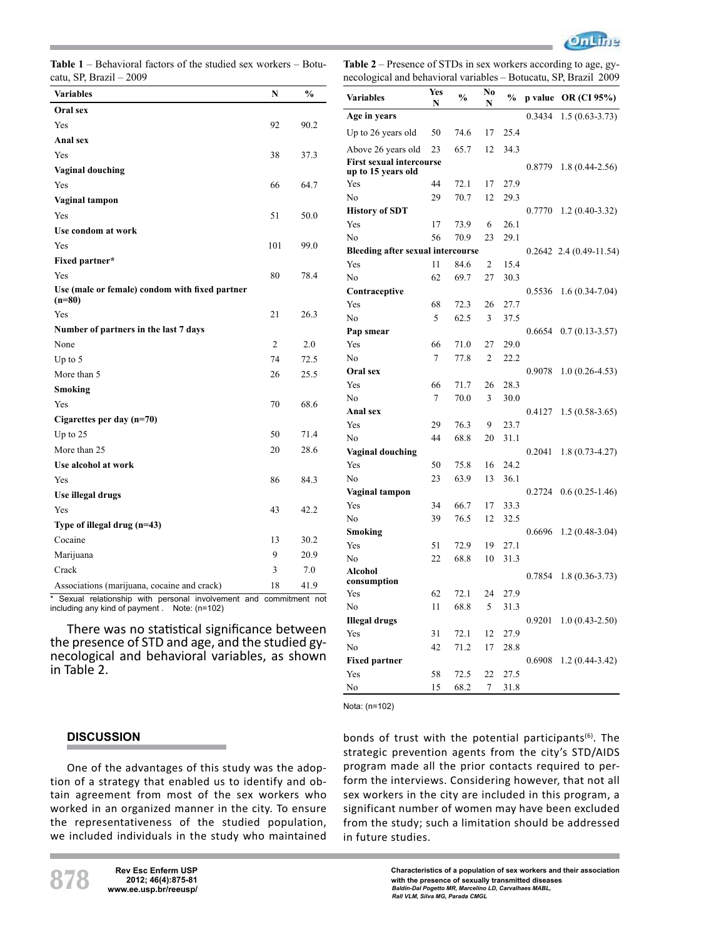

**Table 1** – Behavioral factors of the studied sex workers – Botucatu, SP, Brazil – 2009

**Table 2** – Presence of STDs in sex workers according to age, gynecological and behavioral variables – Botucatu, SP, Brazil 2009

| Variables                                                  | N   | $\frac{0}{0}$ |
|------------------------------------------------------------|-----|---------------|
| Oral sex                                                   |     |               |
| Yes                                                        | 92  | 90.2          |
| Anal sex                                                   |     |               |
| Yes                                                        | 38  | 37.3          |
| <b>Vaginal douching</b>                                    |     |               |
| Yes                                                        | 66  | 64.7          |
| Vaginal tampon                                             |     |               |
| Yes                                                        | 51  | 50.0          |
| Use condom at work                                         |     |               |
| Yes                                                        | 101 | 99.0          |
| Fixed partner*                                             |     |               |
| Yes                                                        | 80  | 78.4          |
| Use (male or female) condom with fixed partner<br>$(n=80)$ |     |               |
| Yes                                                        | 21  | 26.3          |
| Number of partners in the last 7 days                      |     |               |
| None                                                       | 2   | 2.0           |
| Up to $5$                                                  | 74  | 72.5          |
| More than 5                                                | 26  | 25.5          |
| Smoking                                                    |     |               |
| Yes                                                        | 70  | 68.6          |
| Cigarettes per day (n=70)                                  |     |               |
| Up to $25$                                                 | 50  | 71.4          |
| More than 25                                               | 20  | 28.6          |
| Use alcohol at work                                        |     |               |
| Yes                                                        | 86  | 84.3          |
| Use illegal drugs                                          |     |               |
| Yes                                                        | 43  | 42.2          |
| Type of illegal drug (n=43)                                |     |               |
| Cocaine                                                    | 13  | 30.2          |
| Marijuana                                                  | 9   | 20.9          |
| Crack                                                      | 3   | 7.0           |
| Associations (marijuana, cocaine and crack)                | 18  | 41.9          |

Sexual relationship with personal involvement and commitment not including any kind of payment . Note: (n=102)

There was no statistical significance between the presence of STD and age, and the studied gy- necological and behavioral variables, as shown in Table 2.

| <b>Variables</b>                                      | Yes<br>N | $\frac{0}{0}$ | No<br>N | $\frac{0}{0}$ | p value | OR (CI 95%)                 |
|-------------------------------------------------------|----------|---------------|---------|---------------|---------|-----------------------------|
| Age in years                                          |          |               |         |               | 0.3434  | $1.5(0.63 - 3.73)$          |
| Up to 26 years old                                    | 50       | 74.6          | 17      | 25.4          |         |                             |
| Above 26 years old                                    | 23       | 65.7          | 12      | 34.3          |         |                             |
| <b>First sexual intercourse</b><br>up to 15 years old |          |               |         |               | 0.8779  | 1.8 (0.44-2.56)             |
| Yes                                                   | 44       | 72.1          | 17      | 27.9          |         |                             |
| N <sub>0</sub>                                        | 29       | 70.7          | 12      | 29.3          |         |                             |
| <b>History of SDT</b>                                 |          |               |         |               | 0.7770  | $1.2(0.40-3.32)$            |
| Yes                                                   | 17       | 73.9          | 6       | 26.1          |         |                             |
| N <sub>0</sub>                                        | 56       | 70.9          | 23      | 29.1          |         |                             |
| <b>Bleeding after sexual intercourse</b>              |          |               |         |               |         | $0.2642$ 2.4 $(0.49-11.54)$ |
| Yes                                                   | 11       | 84.6          | 2       | 15.4          |         |                             |
| N <sub>o</sub>                                        | 62       | 69.7          | 27      | 30.3          |         |                             |
| Contraceptive                                         |          |               |         |               | 0.5536  | $1.6(0.34-7.04)$            |
| Yes                                                   | 68       | 72.3          | 26      | 27.7          |         |                             |
| No                                                    | 5        | 62.5          | 3       | 37.5          |         |                             |
| Pap smear                                             |          |               |         |               | 0.6654  | $0.7(0.13 - 3.57)$          |
| Yes                                                   | 66       | 71.0          | 27      | 29.0          |         |                             |
| N <sub>0</sub>                                        | 7        | 77.8          | 2       | 22.2          |         |                             |
| Oral sex                                              |          |               |         |               | 0.9078  | $1.0(0.26-4.53)$            |
| Yes                                                   | 66       | 71.7          | 26      | 28.3          |         |                             |
| No                                                    | 7        | 70.0          | 3       | 30.0          |         |                             |
| Anal sex                                              |          |               |         |               | 0.4127  | $1.5(0.58-3.65)$            |
| Yes                                                   | 29       | 76.3          | 9       | 23.7          |         |                             |
| No                                                    | 44       | 68.8          | 20      | 31.1          |         |                             |
| Vaginal douching                                      |          |               |         |               | 0.2041  | $1.8(0.73 - 4.27)$          |
| Yes                                                   | 50       | 75.8          | 16      | 24.2          |         |                             |
| N <sub>0</sub>                                        | 23       | 63.9          | 13      | 36.1          |         |                             |
| Vaginal tampon                                        |          |               |         |               | 0.2724  | $0.6(0.25-1.46)$            |
| Yes                                                   | 34       | 66.7          | 17      | 33.3          |         |                             |
| No                                                    | 39       | 76.5          | 12      | 32.5          |         |                             |
| Smoking                                               |          |               |         |               | 0.6696  | $1.2(0.48-3.04)$            |
| Yes                                                   | 51       | 72.9          | 19      | 27.1          |         |                             |
| No                                                    | 22       | 68.8          | 10      | 31.3          |         |                             |
| Alcohol<br>consumption                                |          |               |         |               | 0.7854  | $1.8(0.36 - 3.73)$          |
| Yes                                                   | 62       | 72.1          | 24      | 27.9          |         |                             |
| N <sub>0</sub>                                        | 11       | 68.8          | 5       | 31.3          |         |                             |
| <b>Illegal drugs</b>                                  |          |               |         |               | 0.9201  | $1.0(0.43 - 2.50)$          |
| Yes                                                   | 31       | 72.1          | 12      | 27.9          |         |                             |
| N <sub>0</sub>                                        | 42       | 71.2          | 17      | 28.8          |         |                             |
| <b>Fixed partner</b>                                  |          |               |         |               | 0.6908  | $1.2(0.44 - 3.42)$          |
| Yes                                                   | 58       | 72.5          | 22      | 27.5          |         |                             |
| No                                                    | 15       | 68.2          | 7       | 31.8          |         |                             |

Nota: (n=102)

# **DISCUSSION**

One of the advantages of this study was the adoption of a strategy that enabled us to identify and obtain agreement from most of the sex workers who worked in an organized manner in the city. To ensure the representativeness of the studied population, we included individuals in the study who maintained bonds of trust with the potential participants $(6)$ . The strategic prevention agents from the city's STD/AIDS program made all the prior contacts required to perform the interviews. Considering however, that not all sex workers in the city are included in this program, a significant number of women may have been excluded from the study; such a limitation should be addressed in future studies.

**878 Rev Esc Enferm USP**<br>2012; 46(4):875-81<br>www.ee.usp.br/reeusp/ **www.ee.usp.br/reeusp/**

**Characteristics of a population of sex workers and their association with the presence of sexually transmitted diseases** *Baldin-Dal Pogetto MR, Marcelino LD, Carvalhaes MABL, Rall VLM, Silva MG, Parada CMGL*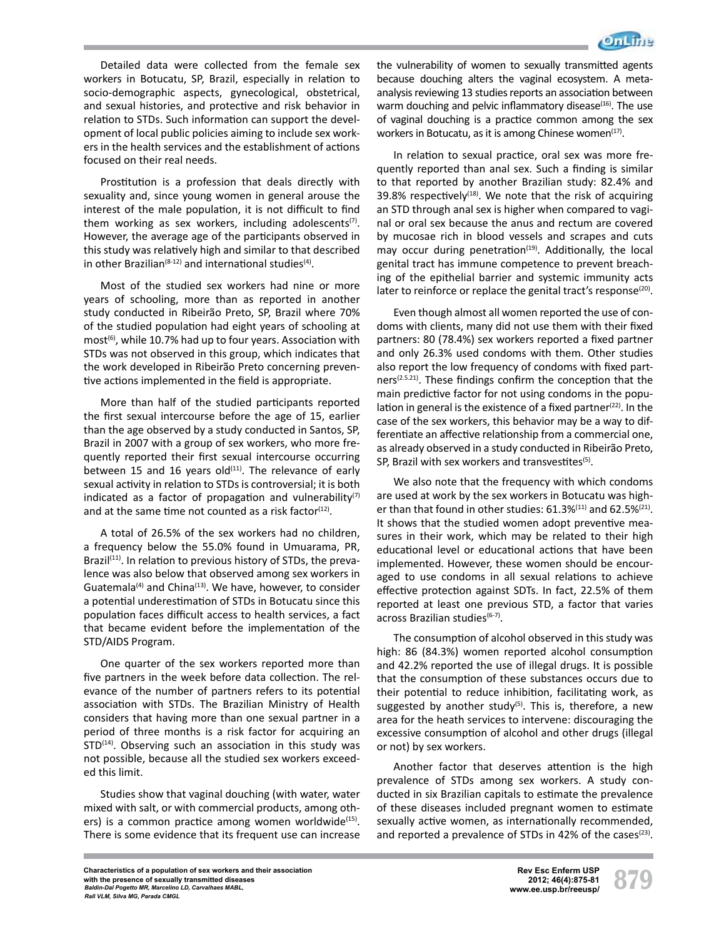

Detailed data were collected from the female sex workers in Botucatu, SP, Brazil, especially in relation to socio-demographic aspects, gynecological, obstetrical, and sexual histories, and protective and risk behavior in relation to STDs. Such information can support the development of local public policies aiming to include sex workers in the health services and the establishment of actions focused on their real needs.

Prostitution is a profession that deals directly with sexuality and, since young women in general arouse the interest of the male population, it is not difficult to find them working as sex workers, including adolescents<sup>(7)</sup>. However, the average age of the participants observed in this study was relatively high and similar to that described in other Brazilian<sup>(8-12)</sup> and international studies<sup>(4)</sup>.

Most of the studied sex workers had nine or more years of schooling, more than as reported in another study conducted in Ribeirão Preto, SP, Brazil where 70% of the studied population had eight years of schooling at  $most<sup>(6)</sup>$ , while 10.7% had up to four years. Association with STDs was not observed in this group, which indicates that the work developed in Ribeirão Preto concerning preventive actions implemented in the field is appropriate.

More than half of the studied participants reported the first sexual intercourse before the age of 15, earlier than the age observed by a study conducted in Santos, SP, Brazil in 2007 with a group of sex workers, who more frequently reported their first sexual intercourse occurring between 15 and 16 years old $(111)$ . The relevance of early sexual activity in relation to STDs is controversial; it is both indicated as a factor of propagation and vulnerability $(7)$ and at the same time not counted as a risk factor<sup> $(12)$ </sup>.

A total of 26.5% of the sex workers had no children, a frequency below the 55.0% found in Umuarama, PR, Brazil $(11)$ . In relation to previous history of STDs, the prevalence was also below that observed among sex workers in Guatemala<sup>(4)</sup> and China<sup>(13)</sup>. We have, however, to consider a potential underestimation of STDs in Botucatu since this population faces difficult access to health services, a fact that became evident before the implementation of the STD/AIDS Program.

One quarter of the sex workers reported more than five partners in the week before data collection. The relevance of the number of partners refers to its potential association with STDs. The Brazilian Ministry of Health considers that having more than one sexual partner in a period of three months is a risk factor for acquiring an  $STD<sup>(14)</sup>$ . Observing such an association in this study was not possible, because all the studied sex workers exceeded this limit.

Studies show that vaginal douching (with water, water mixed with salt, or with commercial products, among others) is a common practice among women worldwide $(15)$ . There is some evidence that its frequent use can increase

the vulnerability of women to sexually transmitted agents because douching alters the vaginal ecosystem. A metaanalysis reviewing 13 studies reports an association between warm douching and pelvic inflammatory disease $(16)$ . The use of vaginal douching is a practice common among the sex workers in Botucatu, as it is among Chinese women<sup>(17)</sup>.

In relation to sexual practice, oral sex was more frequently reported than anal sex. Such a finding is similar to that reported by another Brazilian study: 82.4% and 39.8% respectively<sup>(18)</sup>. We note that the risk of acquiring an STD through anal sex is higher when compared to vaginal or oral sex because the anus and rectum are covered by mucosae rich in blood vessels and scrapes and cuts may occur during penetration<sup>(19)</sup>. Additionally, the local genital tract has immune competence to prevent breaching of the epithelial barrier and systemic immunity acts later to reinforce or replace the genital tract's response<sup>(20)</sup>.

Even though almost all women reported the use of condoms with clients, many did not use them with their fixed partners: 80 (78.4%) sex workers reported a fixed partner and only 26.3% used condoms with them. Other studies also report the low frequency of condoms with fixed partners<sup>(2.5.21)</sup>. These findings confirm the conception that the main predictive factor for not using condoms in the population in general is the existence of a fixed partner $(22)$ . In the case of the sex workers, this behavior may be a way to differentiate an affective relationship from a commercial one, as already observed in a study conducted in Ribeirão Preto, SP, Brazil with sex workers and transvestites<sup>(5)</sup>.

We also note that the frequency with which condoms are used at work by the sex workers in Botucatu was higher than that found in other studies:  $61.3\%^{(11)}$  and  $62.5\%^{(21)}$ . It shows that the studied women adopt preventive measures in their work, which may be related to their high educational level or educational actions that have been implemented. However, these women should be encouraged to use condoms in all sexual relations to achieve effective protection against SDTs. In fact, 22.5% of them reported at least one previous STD, a factor that varies across Brazilian studies<sup>(6-7)</sup>.

The consumption of alcohol observed in this study was high: 86 (84.3%) women reported alcohol consumption and 42.2% reported the use of illegal drugs. It is possible that the consumption of these substances occurs due to their potential to reduce inhibition, facilitating work, as suggested by another study<sup>(5)</sup>. This is, therefore, a new area for the heath services to intervene: discouraging the excessive consumption of alcohol and other drugs (illegal or not) by sex workers.

Another factor that deserves attention is the high prevalence of STDs among sex workers. A study conducted in six Brazilian capitals to estimate the prevalence of these diseases included pregnant women to estimate sexually active women, as internationally recommended, and reported a prevalence of STDs in 42% of the cases<sup>(23)</sup>.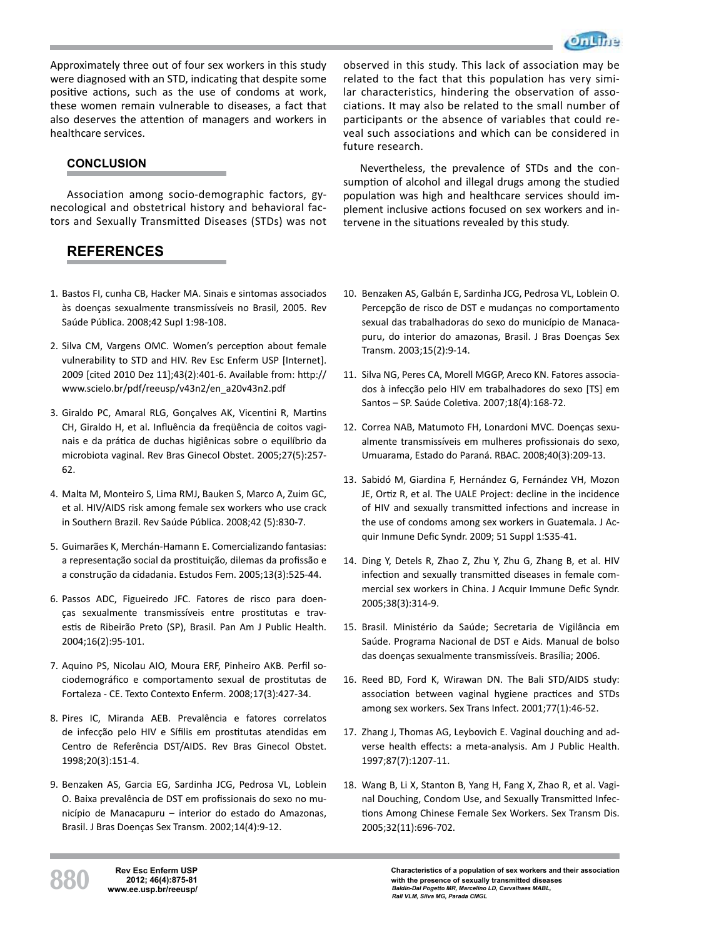

Approximately three out of four sex workers in this study were diagnosed with an STD, indicating that despite some positive actions, such as the use of condoms at work, these women remain vulnerable to diseases, a fact that also deserves the attention of managers and workers in healthcare services.

# **CONCLUSION**

Association among socio-demographic factors, gynecological and obstetrical history and behavioral factors and Sexually Transmitted Diseases (STDs) was not

# **REFERENCES**

- 1. Bastos FI, cunha CB, Hacker MA. Sinais e sintomas associados às doenças sexualmente transmissíveis no Brasil, 2005. Rev Saúde Pública. 2008;42 Supl 1:98-108.
- 2. Silva CM, Vargens OMC. Women's perception about female vulnerability to STD and HIV. Rev Esc Enferm USP [Internet]. 2009 [cited 2010 Dez 11];43(2):401-6. Available from: http:// www.scielo.br/pdf/reeusp/v43n2/en\_a20v43n2.pdf
- 3. Giraldo PC, Amaral RLG, Gonçalves AK, Vicentini R, Martins CH, Giraldo H, et al. Influência da freqüência de coitos vaginais e da prática de duchas higiênicas sobre o equilíbrio da microbiota vaginal. Rev Bras Ginecol Obstet. 2005;27(5):257- 62.
- 4. Malta M, Monteiro S, Lima RMJ, Bauken S, Marco A, Zuim GC, et al. HIV/AIDS risk among female sex workers who use crack in Southern Brazil. Rev Saúde Pública. 2008;42 (5):830-7.
- 5. Guimarães K, Merchán-Hamann E. Comercializando fantasias: a representação social da prostituição, dilemas da profissão e a construção da cidadania. Estudos Fem. 2005;13(3):525-44.
- 6. Passos ADC, Figueiredo JFC. Fatores de risco para doenças sexualmente transmissíveis entre prostitutas e travestis de Ribeirão Preto (SP), Brasil. Pan Am J Public Health. 2004;16(2):95-101.
- 7. Aquino PS, Nicolau AIO, Moura ERF, Pinheiro AKB. Perfil sociodemográfico e comportamento sexual de prostitutas de Fortaleza - CE. Texto Contexto Enferm. 2008;17(3):427-34.
- 8. Pires IC, Miranda AEB. Prevalência e fatores correlatos de infecção pelo HIV e Sífilis em prostitutas atendidas em Centro de Referência DST/AIDS. Rev Bras Ginecol Obstet. 1998;20(3):151-4.
- 9. Benzaken AS, Garcia EG, Sardinha JCG, Pedrosa VL, Loblein O. Baixa prevalência de DST em profissionais do sexo no município de Manacapuru – interior do estado do Amazonas, Brasil. J Bras Doenças Sex Transm. 2002;14(4):9-12.

observed in this study. This lack of association may be related to the fact that this population has very similar characteristics, hindering the observation of associations. It may also be related to the small number of participants or the absence of variables that could reveal such associations and which can be considered in future research.

Nevertheless, the prevalence of STDs and the consumption of alcohol and illegal drugs among the studied population was high and healthcare services should implement inclusive actions focused on sex workers and intervene in the situations revealed by this study.

- 10. Benzaken AS, Galbán E, Sardinha JCG, Pedrosa VL, Loblein O. Percepção de risco de DST e mudanças no comportamento sexual das trabalhadoras do sexo do município de Manacapuru, do interior do amazonas, Brasil. J Bras Doenças Sex Transm. 2003;15(2):9-14.
- 11. Silva NG, Peres CA, Morell MGGP, Areco KN. Fatores associados à infecção pelo HIV em trabalhadores do sexo [TS] em Santos – SP. Saúde Coletiva. 2007;18(4):168-72.
- 12. Correa NAB, Matumoto FH, Lonardoni MVC. Doenças sexualmente transmissíveis em mulheres profissionais do sexo, Umuarama, Estado do Paraná. RBAC. 2008;40(3):209-13.
- 13. Sabidó M, Giardina F, Hernández G, Fernández VH, Mozon JE, Ortiz R, et al. The UALE Project: decline in the incidence of HIV and sexually transmitted infections and increase in the use of condoms among sex workers in Guatemala. J Acquir Inmune Defic Syndr. 2009; 51 Suppl 1:S35-41.
- 14. Ding Y, Detels R, Zhao Z, Zhu Y, Zhu G, Zhang B, et al. HIV infection and sexually transmitted diseases in female commercial sex workers in China. J Acquir Immune Defic Syndr. 2005;38(3):314-9.
- 15. Brasil. Ministério da Saúde; Secretaria de Vigilância em Saúde. Programa Nacional de DST e Aids. Manual de bolso das doenças sexualmente transmissíveis. Brasília; 2006.
- 16. Reed BD, Ford K, Wirawan DN. The Bali STD/AIDS study: association between vaginal hygiene practices and STDs among sex workers. Sex Trans Infect. 2001;77(1):46-52.
- 17. Zhang J, Thomas AG, Leybovich E. Vaginal douching and adverse health effects: a meta-analysis. Am J Public Health. 1997;87(7):1207-11.
- 18. Wang B, Li X, Stanton B, Yang H, Fang X, Zhao R, et al. Vaginal Douching, Condom Use, and Sexually Transmitted Infections Among Chinese Female Sex Workers. Sex Transm Dis. 2005;32(11):696-702.